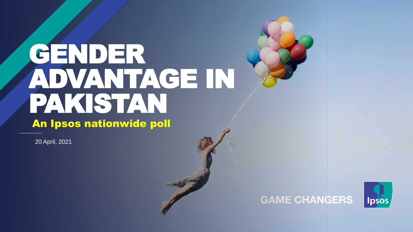# GENDER ADVANTAGE IN PAKISTAN An Ipsos nationwide poll

20 April, 2021



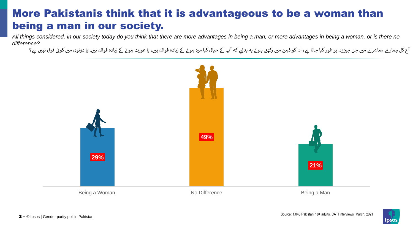#### More Pakistanis think that it is advantageous to be a woman than being a man in our society.

*All things considered, in our society today do you think that there are more advantages in being a man, or more advantages in being a woman, or is there no difference?*

آج کل ہمار ے معاشر ے میں جن چیزوں پر غور کیا جاتا ہے، ان کو ذہن میں ڈیس کا عورت ہیں کیا عورت ہوں کا ذوائد وائد اس وائد ہیں، یا دونوں میں کوئی فرق نہیں ہے کوئی فرق نہیں ہے کی ایک ایک ایک <br>۔۔۔۔۔۔۔۔۔۔۔۔۔۔۔۔۔۔۔۔۔۔۔۔۔۔۔۔۔۔۔۔۔۔ ز ے ز



Source: 1,048 Pakistani 18+ adults, CATI interviews, March, 2021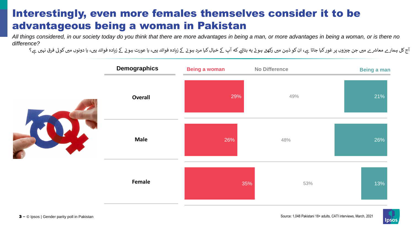#### Interestingly, even more females themselves consider it to be advantageous being a woman in Pakistan

*All things considered, in our society today do you think that there are more advantages in being a man, or more advantages in being a woman, or is there no difference?*

آج کل ہمار ے معاشر ے میں جن چیزوں پر غور کیا جاتا ہے، ان کو ذہن میں ڈیس کا عورت ہیں کیا عورت ہوں کا ذوائد وائد اس وائد ہیں، یا دونوں میں کوئی فرق نہیں ہے کوئی فرق نہیں ہے کی ایک ایک ایک <br>۔۔۔۔۔۔۔۔۔۔۔۔۔۔۔۔۔۔۔۔۔۔۔۔۔۔۔۔۔۔۔۔۔۔ ز ے ز



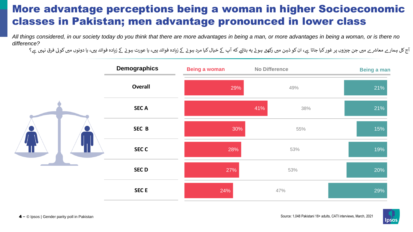#### More advantage perceptions being a woman in higher Socioeconomic classes in Pakistan; men advantage pronounced in lower class

*All things considered, in our society today do you think that there are more advantages in being a man, or more advantages in being a woman, or is there no difference?*

آج کل ہمار ے معاشر ے میں جن چیزوں پر غور کیا جاتا ہے، ان کو ذہن میں ڈیس کا عورت ہیں کیا عورت ہوں کا ذوائد وائد اس وائد ہیں، یا دونوں میں کوئی فرق نہیں ہے کوئی فرق نہیں ہے کی ایک ایک ایک <br>۔۔۔۔۔۔۔۔۔۔۔۔۔۔۔۔۔۔۔۔۔۔۔۔۔۔۔۔۔۔۔۔۔۔ ز ے ز

|  | <b>Demographics</b> | <b>Being a woman</b> | <b>No Difference</b> | Being a man |
|--|---------------------|----------------------|----------------------|-------------|
|  | <b>Overall</b>      | 29%                  | 49%                  | 21%         |
|  | <b>SECA</b>         |                      | 41%<br>38%           | 21%         |
|  | SEC B               | 30%                  | 55%                  | 15%         |
|  | <b>SEC C</b>        | 28%                  | 53%                  | 19%         |
|  | <b>SECD</b>         | 27%                  | 53%                  | 20%         |
|  | <b>SEC E</b>        | 24%                  | 47%                  | 29%         |

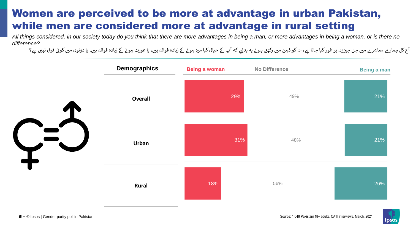#### Women are perceived to be more at advantage in urban Pakistan, while men are considered more at advantage in rural setting

*All things considered, in our society today do you think that there are more advantages in being a man, or more advantages in being a woman, or is there no difference?*

آج کل ہمار ے معاشر ے میں جن چیزوں پر غور کیا جاتا ہے، ان کو ذہن میں ڈیس کا عورت ہیں کیا عورت ہوں کا ذوائد وائد اس وائد ہیں، یا دونوں میں کوئی فرق نہیں ہے کوئی فرق نہیں ہے کی ایک ایک ایک <br>۔۔۔۔۔۔۔۔۔۔۔۔۔۔۔۔۔۔۔۔۔۔۔۔۔۔۔۔۔۔۔۔۔۔ ز ے ز



Source: 1,048 Pakistani 18+ adults, CATI interviews, March, 2021

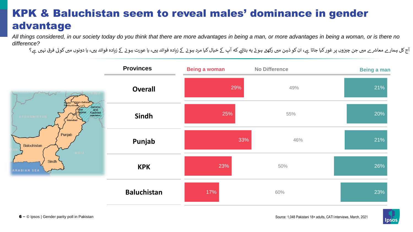### KPK & Baluchistan seem to reveal males' dominance in gender advantage

*All things considered, in our society today do you think that there are more advantages in being a man, or more advantages in being a woman, or is there no difference?*

آج کل ہمار ے معاشر ے میں جن چیزوں پر غور کیا جاتا ہے، ان کو ذہن میں ڈیس کا عورت ہیں کیا عورت ہوں کا ذوائد وائد اس وائد ہیں، یا دونوں میں کوئی فرق نہیں ہے کوئی فرق نہیں ہے کی ایک ایک ایک <br>۔۔۔۔۔۔۔۔۔۔۔۔۔۔۔۔۔۔۔۔۔۔۔۔۔۔۔۔۔۔۔۔۔۔ ز ے ز